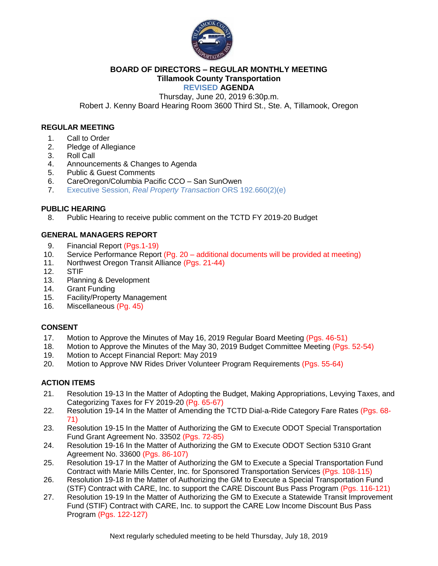

#### **BOARD OF DIRECTORS – REGULAR MONTHLY MEETING Tillamook County Transportation REVISED AGENDA**

Thursday, June 20, 2019 6:30p.m.

Robert J. Kenny Board Hearing Room 3600 Third St., Ste. A, Tillamook, Oregon

## **REGULAR MEETING**

- 1. Call to Order
- 2. Pledge of Allegiance
- 3. Roll Call
- 4. Announcements & Changes to Agenda
- 5. Public & Guest Comments
- 6. CareOregon/Columbia Pacific CCO San SunOwen
- 7. Executive Session, *Real Property Transaction* ORS 192.660(2)(e)

### **PUBLIC HEARING**

8. Public Hearing to receive public comment on the TCTD FY 2019-20 Budget

### **GENERAL MANAGERS REPORT**

- 9. Financial Report (Pgs.1-19)
- 10. Service Performance Report (Pg. 20 additional documents will be provided at meeting)
- 11. Northwest Oregon Transit Alliance (Pgs. 21-44)
- 12. STIF
- 13. Planning & Development
- 14. Grant Funding
- 15. Facility/Property Management
- 16. Miscellaneous (Pg. 45)

### **CONSENT**

- 17. Motion to Approve the Minutes of May 16, 2019 Regular Board Meeting (Pgs. 46-51)
- 18. Motion to Approve the Minutes of the May 30, 2019 Budget Committee Meeting (Pgs. 52-54)
- 19. Motion to Accept Financial Report: May 2019
- 20. Motion to Approve NW Rides Driver Volunteer Program Requirements (Pgs. 55-64)

# **ACTION ITEMS**

- 21. Resolution 19-13 In the Matter of Adopting the Budget, Making Appropriations, Levying Taxes, and Categorizing Taxes for FY 2019-20 (Pg. 65-67)
- 22. Resolution 19-14 In the Matter of Amending the TCTD Dial-a-Ride Category Fare Rates (Pgs. 68- 71)
- 23. Resolution 19-15 In the Matter of Authorizing the GM to Execute ODOT Special Transportation Fund Grant Agreement No. 33502 (Pgs. 72-85)
- 24. Resolution 19-16 In the Matter of Authorizing the GM to Execute ODOT Section 5310 Grant Agreement No. 33600 (Pgs. 86-107)
- 25. Resolution 19-17 In the Matter of Authorizing the GM to Execute a Special Transportation Fund Contract with Marie Mills Center, Inc. for Sponsored Transportation Services (Pgs. 108-115)
- 26. Resolution 19-18 In the Matter of Authorizing the GM to Execute a Special Transportation Fund (STF) Contract with CARE, Inc. to support the CARE Discount Bus Pass Program (Pgs. 116-121)
- 27. Resolution 19-19 In the Matter of Authorizing the GM to Execute a Statewide Transit Improvement Fund (STIF) Contract with CARE, Inc. to support the CARE Low Income Discount Bus Pass Program (Pgs. 122-127)